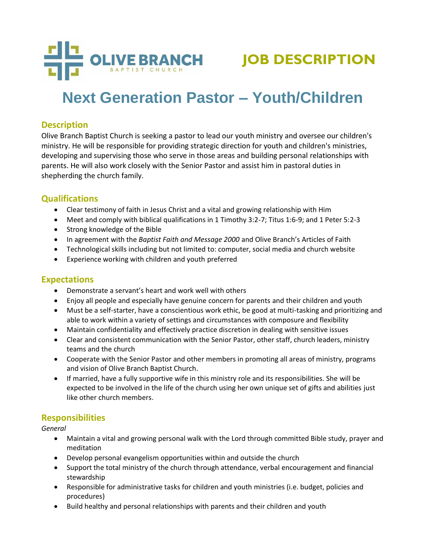

# **Next Generation Pastor – Youth/Children**

# **Description**

Olive Branch Baptist Church is seeking a pastor to lead our youth ministry and oversee our children's ministry. He will be responsible for providing strategic direction for youth and children's ministries, developing and supervising those who serve in those areas and building personal relationships with parents. He will also work closely with the Senior Pastor and assist him in pastoral duties in shepherding the church family.

# **Qualifications**

- Clear testimony of faith in Jesus Christ and a vital and growing relationship with Him
- Meet and comply with biblical qualifications in 1 Timothy 3:2-7; Titus 1:6-9; and 1 Peter 5:2-3
- Strong knowledge of the Bible
- In agreement with the *Baptist Faith and Message 2000* and Olive Branch's Articles of Faith
- Technological skills including but not limited to: computer, social media and church website
- Experience working with children and youth preferred

## **Expectations**

- Demonstrate a servant's heart and work well with others
- Enjoy all people and especially have genuine concern for parents and their children and youth
- Must be a self-starter, have a conscientious work ethic, be good at multi-tasking and prioritizing and able to work within a variety of settings and circumstances with composure and flexibility
- Maintain confidentiality and effectively practice discretion in dealing with sensitive issues
- Clear and consistent communication with the Senior Pastor, other staff, church leaders, ministry teams and the church
- Cooperate with the Senior Pastor and other members in promoting all areas of ministry, programs and vision of Olive Branch Baptist Church.
- If married, have a fully supportive wife in this ministry role and its responsibilities. She will be expected to be involved in the life of the church using her own unique set of gifts and abilities just like other church members.

## **Responsibilities**

*General*

- Maintain a vital and growing personal walk with the Lord through committed Bible study, prayer and meditation
- Develop personal evangelism opportunities within and outside the church
- Support the total ministry of the church through attendance, verbal encouragement and financial stewardship
- Responsible for administrative tasks for children and youth ministries (i.e. budget, policies and procedures)
- Build healthy and personal relationships with parents and their children and youth